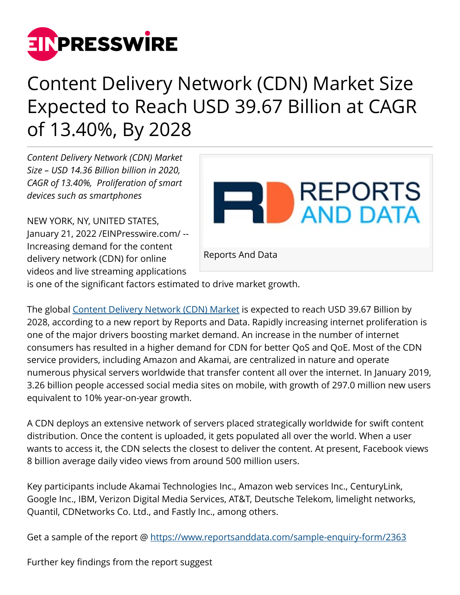

## Content Delivery Network (CDN) Market Size Expected to Reach USD 39.67 Billion at CAGR of 13.40%, By 2028

*Content Delivery Network (CDN) Market Size – USD 14.36 Billion billion in 2020, CAGR of 13.40%, Proliferation of smart devices such as smartphones*

NEW YORK, NY, UNITED STATES, January 21, 2022 /[EINPresswire.com](http://www.einpresswire.com)/ -- Increasing demand for the content delivery network (CDN) for online videos and live streaming applications



is one of the significant factors estimated to drive market growth.

The global [Content Delivery Network \(CDN\) Market](https://www.reportsanddata.com/report-detail/content-delivery-network-cdn-market) is expected to reach USD 39.67 Billion by 2028, according to a new report by Reports and Data. Rapidly increasing internet proliferation is one of the major drivers boosting market demand. An increase in the number of internet consumers has resulted in a higher demand for CDN for better QoS and QoE. Most of the CDN service providers, including Amazon and Akamai, are centralized in nature and operate numerous physical servers worldwide that transfer content all over the internet. In January 2019, 3.26 billion people accessed social media sites on mobile, with growth of 297.0 million new users equivalent to 10% year-on-year growth.

A CDN deploys an extensive network of servers placed strategically worldwide for swift content distribution. Once the content is uploaded, it gets populated all over the world. When a user wants to access it, the CDN selects the closest to deliver the content. At present, Facebook views 8 billion average daily video views from around 500 million users.

Key participants include Akamai Technologies Inc., Amazon web services Inc., CenturyLink, Google Inc., IBM, Verizon Digital Media Services, AT&T, Deutsche Telekom, limelight networks, Quantil, CDNetworks Co. Ltd., and Fastly Inc., among others.

Get a sample of the report @<https://www.reportsanddata.com/sample-enquiry-form/2363>

Further key findings from the report suggest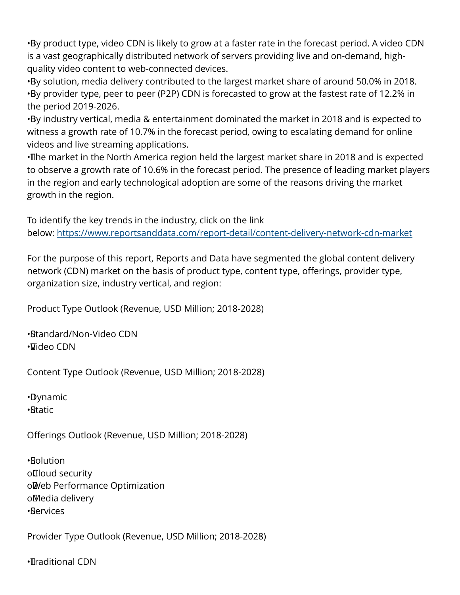• By product type, video CDN is likely to grow at a faster rate in the forecast period. A video CDN is a vast geographically distributed network of servers providing live and on-demand, highquality video content to web-connected devices.

• By solution, media delivery contributed to the largest market share of around 50.0% in 2018. • By provider type, peer to peer (P2P) CDN is forecasted to grow at the fastest rate of 12.2% in the period 2019-2026.

• By industry vertical, media & entertainment dominated the market in 2018 and is expected to witness a growth rate of 10.7% in the forecast period, owing to escalating demand for online videos and live streaming applications.

• The market in the North America region held the largest market share in 2018 and is expected to observe a growth rate of 10.6% in the forecast period. The presence of leading market players in the region and early technological adoption are some of the reasons driving the market growth in the region.

To identify the key trends in the industry, click on the link below: <https://www.reportsanddata.com/report-detail/content-delivery-network-cdn-market>

For the purpose of this report, Reports and Data have segmented the global content delivery network (CDN) market on the basis of product type, content type, offerings, provider type, organization size, industry vertical, and region:

Product Type Outlook (Revenue, USD Million; 2018-2028)

• Standard/Non-Video CDN • Video CDN

Content Type Outlook (Revenue, USD Million; 2018-2028)

• Dynamic • Static

Offerings Outlook (Revenue, USD Million; 2018-2028)

• Solution o Cloud security o Web Performance Optimization o Media delivery • Services

Provider Type Outlook (Revenue, USD Million; 2018-2028)

•**I**Iraditional CDN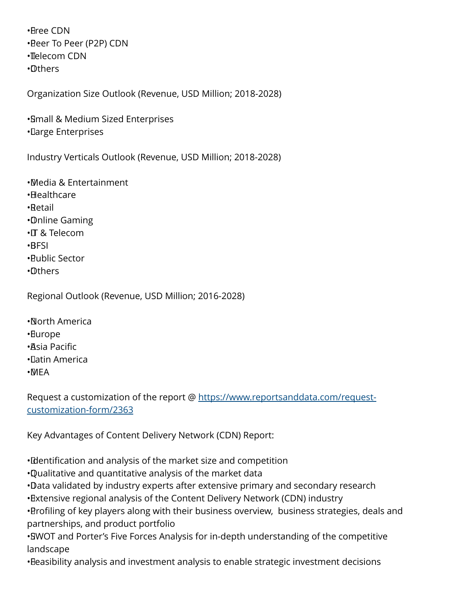• Free CDN • Peer To Peer (P2P) CDN • Telecom CDN • Others

Organization Size Outlook (Revenue, USD Million; 2018-2028)

• Small & Medium Sized Enterprises • Large Enterprises

Industry Verticals Outlook (Revenue, USD Million; 2018-2028)

• Media & Entertainment

- • Healthcare
- • Retail
- • Online Gaming
- • IT & Telecom
- • BFSI
- • Public Sector
- • Others

Regional Outlook (Revenue, USD Million; 2016-2028)

- • North America
- • Europe
- • Asia Pacific
- • Latin America
- • MEA

Request a customization of the report @ [https://www.reportsanddata.com/request](https://www.reportsanddata.com/request-customization-form/2363)[customization-form/2363](https://www.reportsanddata.com/request-customization-form/2363)

Key Advantages of Content Delivery Network (CDN) Report:

• Identification and analysis of the market size and competition

- • Qualitative and quantitative analysis of the market data
- • Data validated by industry experts after extensive primary and secondary research

• Extensive regional analysis of the Content Delivery Network (CDN) industry

• Profiling of key players along with their business overview, business strategies, deals and partnerships, and product portfolio

• SWOT and Porter's Five Forces Analysis for in-depth understanding of the competitive landscape

• Beasibility analysis and investment analysis to enable strategic investment decisions